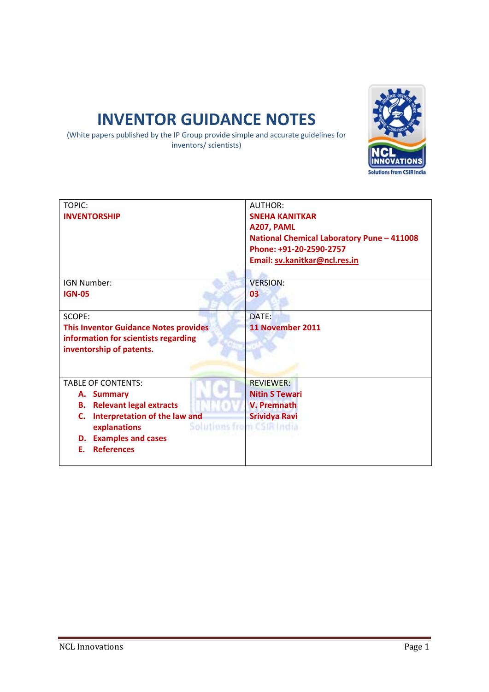# **INVENTOR GUIDANCE NOTES**

(White papers published by the IP Group provide simple and accurate guidelines for inventors/ scientists)



| TOPIC:                                       | <b>AUTHOR:</b>                                    |
|----------------------------------------------|---------------------------------------------------|
| <b>INVENTORSHIP</b>                          | <b>SNEHA KANITKAR</b>                             |
|                                              | A207, PAML                                        |
|                                              | <b>National Chemical Laboratory Pune - 411008</b> |
|                                              | Phone: +91-20-2590-2757                           |
|                                              | Email: sv.kanitkar@ncl.res.in                     |
|                                              |                                                   |
| IGN Number:                                  | <b>VERSION:</b>                                   |
| <b>IGN-05</b>                                | 03                                                |
|                                              |                                                   |
| SCOPE:                                       | DATE:                                             |
| <b>This Inventor Guidance Notes provides</b> | 11 November 2011                                  |
| information for scientists regarding         |                                                   |
| inventorship of patents.                     |                                                   |
|                                              |                                                   |
|                                              |                                                   |
| <b>TABLE OF CONTENTS:</b>                    | <b>REVIEWER:</b>                                  |
| A. Summary                                   | <b>Nitin S Tewari</b>                             |
| <b>Relevant legal extracts</b><br>В.         | V. Premnath                                       |
| Interpretation of the law and<br>C.          | <b>Srividya Ravi</b>                              |
|                                              |                                                   |
| explanations                                 | Solutions from CSIR India                         |
| <b>Examples and cases</b><br>D.              |                                                   |
| <b>References</b><br>Е.                      |                                                   |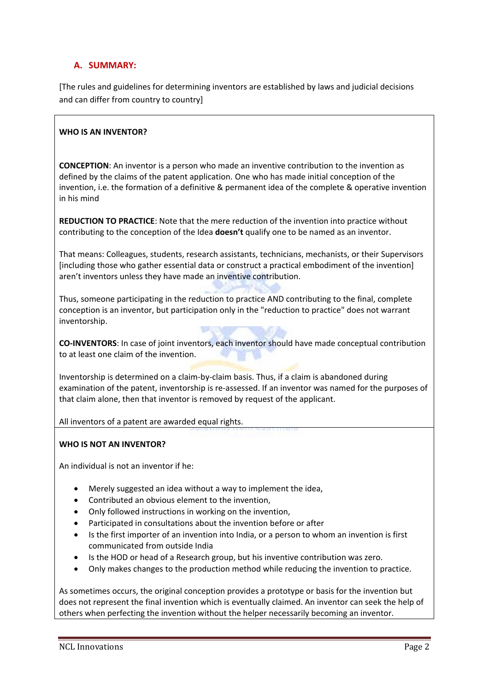# **A. SUMMARY:**

[The rules and guidelines for determining inventors are established by laws and judicial decisions and can differ from country to country]

### **WHO IS AN INVENTOR?**

**CONCEPTION**: An inventor is a person who made an inventive contribution to the invention as defined by the claims of the patent application. One who has made initial conception of the invention, i.e. the formation of a definitive & permanent idea of the complete & operative invention in his mind

**REDUCTION TO PRACTICE**: Note that the mere reduction of the invention into practice without contributing to the conception of the Idea **doesn't** qualify one to be named as an inventor.

That means: Colleagues, students, research assistants, technicians, mechanists, or their Supervisors [including those who gather essential data or construct a practical embodiment of the invention] aren't inventors unless they have made an inventive contribution.

Thus, someone participating in the reduction to practice AND contributing to the final, complete conception is an inventor, but participation only in the "reduction to practice" does not warrant inventorship.

**CO‐INVENTORS**: In case of joint inventors, each inventor should have made conceptual contribution to at least one claim of the invention.

Inventorship is determined on a claim‐by‐claim basis. Thus, if a claim is abandoned during examination of the patent, inventorship is re‐assessed. If an inventor was named for the purposes of that claim alone, then that inventor is removed by request of the applicant.

All inventors of a patent are awarded equal rights.

## **WHO IS NOT AN INVENTOR?**

An individual is not an inventor if he:

- Merely suggested an idea without a way to implement the idea,
- Contributed an obvious element to the invention,
- Only followed instructions in working on the invention,
- Participated in consultations about the invention before or after
- Is the first importer of an invention into India, or a person to whom an invention is first communicated from outside India
- Is the HOD or head of a Research group, but his inventive contribution was zero.
- Only makes changes to the production method while reducing the invention to practice.

As sometimes occurs, the original conception provides a prototype or basis for the invention but does not represent the final invention which is eventually claimed. An inventor can seek the help of others when perfecting the invention without the helper necessarily becoming an inventor.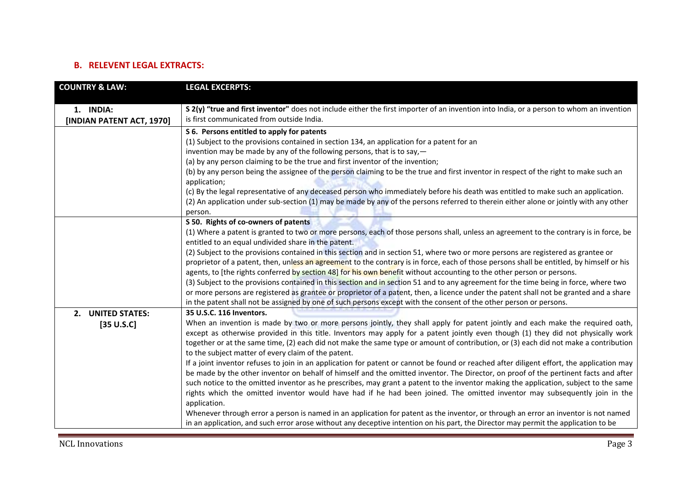## **B. RELEVENT LEGAL EXTRACTS:**

| <b>COUNTRY &amp; LAW:</b>                 | <b>LEGAL EXCERPTS:</b>                                                                                                                                                                                                                                                                                                                                                                                                                                                                                                                                                                                                                                                                                                                                                                                                                                                                                                                                                                                                                                                                                                                                                                                                                                                                                                                                |
|-------------------------------------------|-------------------------------------------------------------------------------------------------------------------------------------------------------------------------------------------------------------------------------------------------------------------------------------------------------------------------------------------------------------------------------------------------------------------------------------------------------------------------------------------------------------------------------------------------------------------------------------------------------------------------------------------------------------------------------------------------------------------------------------------------------------------------------------------------------------------------------------------------------------------------------------------------------------------------------------------------------------------------------------------------------------------------------------------------------------------------------------------------------------------------------------------------------------------------------------------------------------------------------------------------------------------------------------------------------------------------------------------------------|
| 1. INDIA:<br>[INDIAN PATENT ACT, 1970]    | S 2(y) "true and first inventor" does not include either the first importer of an invention into India, or a person to whom an invention<br>is first communicated from outside India.                                                                                                                                                                                                                                                                                                                                                                                                                                                                                                                                                                                                                                                                                                                                                                                                                                                                                                                                                                                                                                                                                                                                                                 |
|                                           | S 6. Persons entitled to apply for patents<br>(1) Subject to the provisions contained in section 134, an application for a patent for an<br>invention may be made by any of the following persons, that is to say, $-$<br>(a) by any person claiming to be the true and first inventor of the invention;<br>(b) by any person being the assignee of the person claiming to be the true and first inventor in respect of the right to make such an<br>application;<br>(c) By the legal representative of any deceased person who immediately before his death was entitled to make such an application.<br>(2) An application under sub-section (1) may be made by any of the persons referred to therein either alone or jointly with any other                                                                                                                                                                                                                                                                                                                                                                                                                                                                                                                                                                                                       |
|                                           | person.<br>S 50. Rights of co-owners of patents<br>(1) Where a patent is granted to two or more persons, each of those persons shall, unless an agreement to the contrary is in force, be<br>entitled to an equal undivided share in the patent.<br>(2) Subject to the provisions contained in this section and in section 51, where two or more persons are registered as grantee or<br>proprietor of a patent, then, unless an agreement to the contrary is in force, each of those persons shall be entitled, by himself or his<br>agents, to [the rights conferred by section 48] for his own benefit without accounting to the other person or persons.<br>(3) Subject to the provisions contained in this section and in section 51 and to any agreement for the time being in force, where two<br>or more persons are registered as grantee or proprietor of a patent, then, a licence under the patent shall not be granted and a share<br>in the patent shall not be assigned by one of such persons except with the consent of the other person or persons.                                                                                                                                                                                                                                                                                 |
| 2. UNITED STATES:<br>$[35 \text{ U.S.C}]$ | 35 U.S.C. 116 Inventors.<br>When an invention is made by two or more persons jointly, they shall apply for patent jointly and each make the required oath,<br>except as otherwise provided in this title. Inventors may apply for a patent jointly even though (1) they did not physically work<br>together or at the same time, (2) each did not make the same type or amount of contribution, or (3) each did not make a contribution<br>to the subject matter of every claim of the patent.<br>If a joint inventor refuses to join in an application for patent or cannot be found or reached after diligent effort, the application may<br>be made by the other inventor on behalf of himself and the omitted inventor. The Director, on proof of the pertinent facts and after<br>such notice to the omitted inventor as he prescribes, may grant a patent to the inventor making the application, subject to the same<br>rights which the omitted inventor would have had if he had been joined. The omitted inventor may subsequently join in the<br>application.<br>Whenever through error a person is named in an application for patent as the inventor, or through an error an inventor is not named<br>in an application, and such error arose without any deceptive intention on his part, the Director may permit the application to be |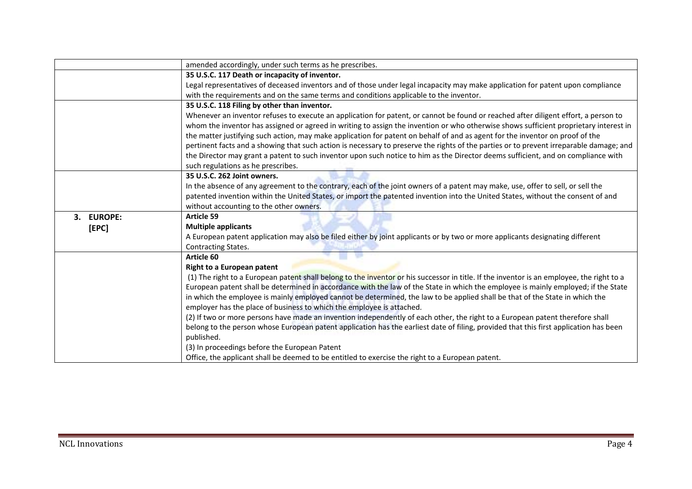|                                                                                                                                           | amended accordingly, under such terms as he prescribes.                                                                                                                                                                                                                      |  |  |  |  |
|-------------------------------------------------------------------------------------------------------------------------------------------|------------------------------------------------------------------------------------------------------------------------------------------------------------------------------------------------------------------------------------------------------------------------------|--|--|--|--|
|                                                                                                                                           | 35 U.S.C. 117 Death or incapacity of inventor.                                                                                                                                                                                                                               |  |  |  |  |
|                                                                                                                                           | Legal representatives of deceased inventors and of those under legal incapacity may make application for patent upon compliance                                                                                                                                              |  |  |  |  |
|                                                                                                                                           | with the requirements and on the same terms and conditions applicable to the inventor.                                                                                                                                                                                       |  |  |  |  |
|                                                                                                                                           | 35 U.S.C. 118 Filing by other than inventor.                                                                                                                                                                                                                                 |  |  |  |  |
|                                                                                                                                           | Whenever an inventor refuses to execute an application for patent, or cannot be found or reached after diligent effort, a person to<br>whom the inventor has assigned or agreed in writing to assign the invention or who otherwise shows sufficient proprietary interest in |  |  |  |  |
|                                                                                                                                           |                                                                                                                                                                                                                                                                              |  |  |  |  |
|                                                                                                                                           | the matter justifying such action, may make application for patent on behalf of and as agent for the inventor on proof of the                                                                                                                                                |  |  |  |  |
|                                                                                                                                           | pertinent facts and a showing that such action is necessary to preserve the rights of the parties or to prevent irreparable damage; and                                                                                                                                      |  |  |  |  |
|                                                                                                                                           | the Director may grant a patent to such inventor upon such notice to him as the Director deems sufficient, and on compliance with                                                                                                                                            |  |  |  |  |
|                                                                                                                                           | such regulations as he prescribes.                                                                                                                                                                                                                                           |  |  |  |  |
|                                                                                                                                           | 35 U.S.C. 262 Joint owners.                                                                                                                                                                                                                                                  |  |  |  |  |
|                                                                                                                                           | In the absence of any agreement to the contrary, each of the joint owners of a patent may make, use, offer to sell, or sell the                                                                                                                                              |  |  |  |  |
|                                                                                                                                           | patented invention within the United States, or import the patented invention into the United States, without the consent of and                                                                                                                                             |  |  |  |  |
|                                                                                                                                           | without accounting to the other owners.                                                                                                                                                                                                                                      |  |  |  |  |
| 3. EUROPE:                                                                                                                                | Article 59                                                                                                                                                                                                                                                                   |  |  |  |  |
| [EPC]                                                                                                                                     | <b>Multiple applicants</b>                                                                                                                                                                                                                                                   |  |  |  |  |
|                                                                                                                                           | A European patent application may also be filed either by joint applicants or by two or more applicants designating different                                                                                                                                                |  |  |  |  |
|                                                                                                                                           | Contracting States.                                                                                                                                                                                                                                                          |  |  |  |  |
|                                                                                                                                           | Article 60                                                                                                                                                                                                                                                                   |  |  |  |  |
|                                                                                                                                           | Right to a European patent                                                                                                                                                                                                                                                   |  |  |  |  |
| (1) The right to a European patent shall belong to the inventor or his successor in title. If the inventor is an employee, the right to a |                                                                                                                                                                                                                                                                              |  |  |  |  |
|                                                                                                                                           | European patent shall be determined in accordance with the law of the State in which the employee is mainly employed; if the State                                                                                                                                           |  |  |  |  |
|                                                                                                                                           | in which the employee is mainly employed cannot be determined, the law to be applied shall be that of the State in which the                                                                                                                                                 |  |  |  |  |
|                                                                                                                                           | employer has the place of business to which the employee is attached.                                                                                                                                                                                                        |  |  |  |  |
|                                                                                                                                           | (2) If two or more persons have made an invention independently of each other, the right to a European patent therefore shall                                                                                                                                                |  |  |  |  |
|                                                                                                                                           | belong to the person whose European patent application has the earliest date of filing, provided that this first application has been                                                                                                                                        |  |  |  |  |
|                                                                                                                                           | published.                                                                                                                                                                                                                                                                   |  |  |  |  |
|                                                                                                                                           | (3) In proceedings before the European Patent                                                                                                                                                                                                                                |  |  |  |  |
|                                                                                                                                           | Office, the applicant shall be deemed to be entitled to exercise the right to a European patent.                                                                                                                                                                             |  |  |  |  |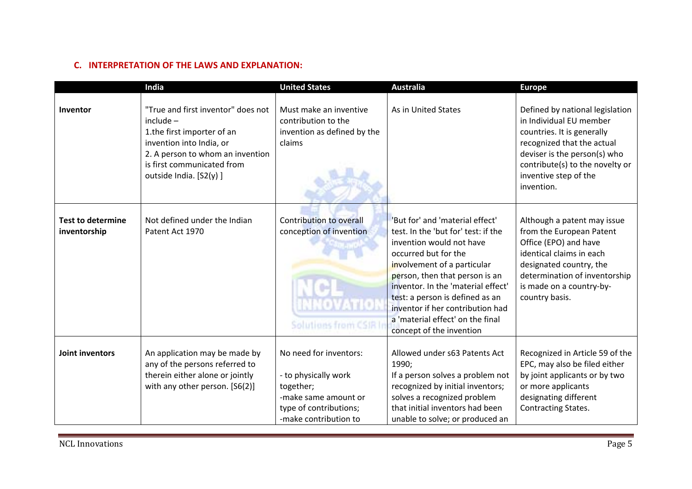# **C. INTERPRETATION OF THE LAWS AND EXPLANATION:**

|                                          | India                                                                                                                                                                                                   | <b>United States</b>                                                                                                                   | <b>Australia</b>                                                                                                                                                                                                                                                                                                                                                         | <b>Europe</b>                                                                                                                                                                                                                    |
|------------------------------------------|---------------------------------------------------------------------------------------------------------------------------------------------------------------------------------------------------------|----------------------------------------------------------------------------------------------------------------------------------------|--------------------------------------------------------------------------------------------------------------------------------------------------------------------------------------------------------------------------------------------------------------------------------------------------------------------------------------------------------------------------|----------------------------------------------------------------------------------------------------------------------------------------------------------------------------------------------------------------------------------|
| Inventor                                 | "True and first inventor" does not<br>$include -$<br>1.the first importer of an<br>invention into India, or<br>2. A person to whom an invention<br>is first communicated from<br>outside India. [S2(y)] | Must make an inventive<br>contribution to the<br>invention as defined by the<br>claims                                                 | As in United States                                                                                                                                                                                                                                                                                                                                                      | Defined by national legislation<br>in Individual EU member<br>countries. It is generally<br>recognized that the actual<br>deviser is the person(s) who<br>contribute(s) to the novelty or<br>inventive step of the<br>invention. |
| <b>Test to determine</b><br>inventorship | Not defined under the Indian<br>Patent Act 1970                                                                                                                                                         | <b>Contribution to overall</b><br>conception of invention<br>2126177<br>Solutions from CSIR1                                           | 'But for' and 'material effect'<br>test. In the 'but for' test: if the<br>invention would not have<br>occurred but for the<br>involvement of a particular<br>person, then that person is an<br>inventor. In the 'material effect'<br>test: a person is defined as an<br>inventor if her contribution had<br>a 'material effect' on the final<br>concept of the invention | Although a patent may issue<br>from the European Patent<br>Office (EPO) and have<br>identical claims in each<br>designated country, the<br>determination of inventorship<br>is made on a country-by-<br>country basis.           |
| Joint inventors                          | An application may be made by<br>any of the persons referred to<br>therein either alone or jointly<br>with any other person. [S6(2)]                                                                    | No need for inventors:<br>- to physically work<br>together;<br>-make same amount or<br>type of contributions;<br>-make contribution to | Allowed under s63 Patents Act<br>1990;<br>If a person solves a problem not<br>recognized by initial inventors;<br>solves a recognized problem<br>that initial inventors had been<br>unable to solve; or produced an                                                                                                                                                      | Recognized in Article 59 of the<br>EPC, may also be filed either<br>by joint applicants or by two<br>or more applicants<br>designating different<br>Contracting States.                                                          |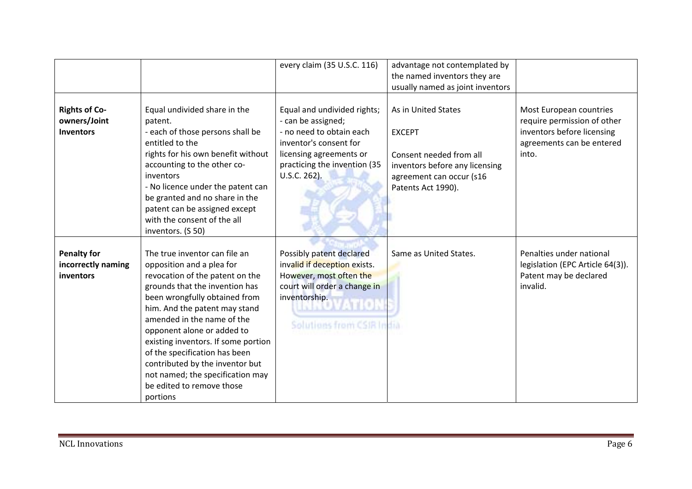|                      |                                                                 | every claim (35 U.S.C. 116)  | advantage not contemplated by<br>the named inventors they are |                                  |
|----------------------|-----------------------------------------------------------------|------------------------------|---------------------------------------------------------------|----------------------------------|
|                      |                                                                 |                              | usually named as joint inventors                              |                                  |
|                      |                                                                 |                              |                                                               |                                  |
| <b>Rights of Co-</b> | Equal undivided share in the                                    | Equal and undivided rights;  | As in United States                                           | Most European countries          |
| owners/Joint         | patent.                                                         | - can be assigned;           |                                                               | require permission of other      |
| <b>Inventors</b>     | - each of those persons shall be                                | - no need to obtain each     | <b>EXCEPT</b>                                                 | inventors before licensing       |
|                      | entitled to the                                                 | inventor's consent for       |                                                               | agreements can be entered        |
|                      | rights for his own benefit without                              | licensing agreements or      | Consent needed from all                                       | into.                            |
|                      | accounting to the other co-                                     | practicing the invention (35 | inventors before any licensing                                |                                  |
|                      | inventors                                                       | U.S.C. 262).                 | agreement can occur (s16                                      |                                  |
|                      | - No licence under the patent can                               |                              | Patents Act 1990).                                            |                                  |
|                      | be granted and no share in the<br>patent can be assigned except |                              |                                                               |                                  |
|                      | with the consent of the all                                     |                              |                                                               |                                  |
|                      | inventors. (S 50)                                               |                              |                                                               |                                  |
|                      |                                                                 |                              |                                                               |                                  |
| <b>Penalty for</b>   | The true inventor can file an                                   | Possibly patent declared     | Same as United States.                                        | Penalties under national         |
| incorrectly naming   | opposition and a plea for                                       | invalid if deception exists. |                                                               | legislation (EPC Article 64(3)). |
| inventors            | revocation of the patent on the                                 | However, most often the      |                                                               | Patent may be declared           |
|                      | grounds that the invention has                                  | court will order a change in |                                                               | invalid.                         |
|                      | been wrongfully obtained from                                   | inventorship.<br>n (o)       |                                                               |                                  |
|                      | him. And the patent may stand                                   |                              |                                                               |                                  |
|                      | amended in the name of the                                      | Solutions from CSIR India    |                                                               |                                  |
|                      | opponent alone or added to                                      |                              |                                                               |                                  |
|                      | existing inventors. If some portion                             |                              |                                                               |                                  |
|                      | of the specification has been                                   |                              |                                                               |                                  |
|                      | contributed by the inventor but                                 |                              |                                                               |                                  |
|                      | not named; the specification may<br>be edited to remove those   |                              |                                                               |                                  |
|                      | portions                                                        |                              |                                                               |                                  |
|                      |                                                                 |                              |                                                               |                                  |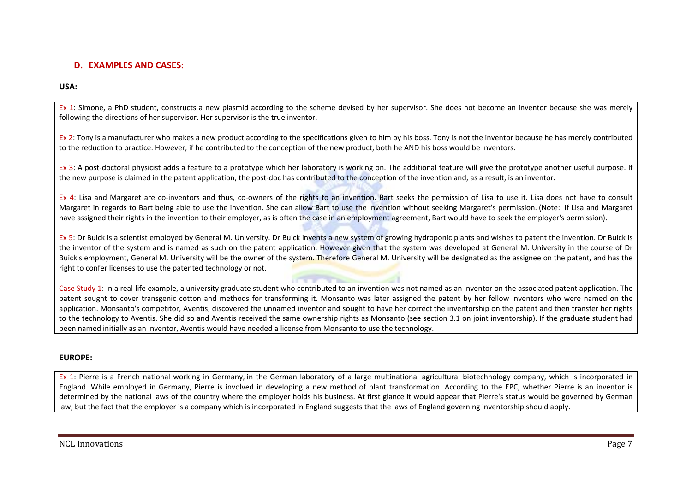## **D. EXAMPLES AND CASES:**

### **USA:**

Ex 1: Simone, a PhD student, constructs a new plasmid according to the scheme devised by her supervisor. She does not become an inventor because she was merely following the directions of her supervisor. Her supervisor is the true inventor.

Ex 2: Tony is a manufacturer who makes a new product according to the specifications given to him by his boss. Tony is not the inventor because he has merely contributed to the reduction to practice. However, if he contributed to the conception of the new product, both he AND his boss would be inventors.

Ex 3: A post-doctoral physicist adds a feature to a prototype which her laboratory is working on. The additional feature will give the prototype another useful purpose. If the new purpose is claimed in the patent application, the post‐doc has contributed to the conception of the invention and, as <sup>a</sup> result, is an inventor.

Ex 4: Lisa and Margaret are co-inventors and thus, co-owners of the rights to an invention. Bart seeks the permission of Lisa to use it. Lisa does not have to consult Margaret in regards to Bart being able to use the invention. She can allow Bart to use the invention without seeking Margaret's permission. (Note: If Lisa and Margaret have assigned their rights in the invention to their employer, as is often the case in an employment agreement, Bart would have to seek the employer's permission).

Ex 5: Dr Buick is a scientist employed by General M. University. Dr Buick invents a new system of growing hydroponic plants and wishes to patent the invention. Dr Buick is the inventor of the system and is named as such on the patent application. However given that the system was developed at General M. University in the course of Dr Buick's employment, General M. University will be the owner of the system. Therefore General M. University will be designated as the assignee on the patent, and has the right to confer licenses to use the patented technology or not.

Case Study 1: In a real-life example, a university graduate student who contributed to an invention was not named as an inventor on the associated patent application. The patent sought to cover transgenic cotton and methods for transforming it. Monsanto was later assigned the patent by her fellow inventors who were named on the application. Monsanto's competitor, Aventis, discovered the unnamed inventor and sought to have her correct the inventorship on the patent and then transfer her rights to the technology to Aventis. She did so and Aventis received the same ownership rights as Monsanto (see section 3.1 on joint inventorship). If the graduate student had been named initially as an inventor, Aventis would have needed <sup>a</sup> license from Monsanto to use the technology.

#### **EUROPE:**

Ex 1: Pierre is <sup>a</sup> French national working in Germany, in the German laboratory of <sup>a</sup> large multinational agricultural biotechnology company, which is incorporated in England. While employed in Germany, Pierre is involved in developing <sup>a</sup> new method of plant transformation. According to the EPC, whether Pierre is an inventor is determined by the national laws of the country where the employer holds his business. At first glance it would appear that Pierre's status would be governed by German law, but the fact that the employer is <sup>a</sup> company which is incorporated in England suggests that the laws of England governing inventorship should apply.